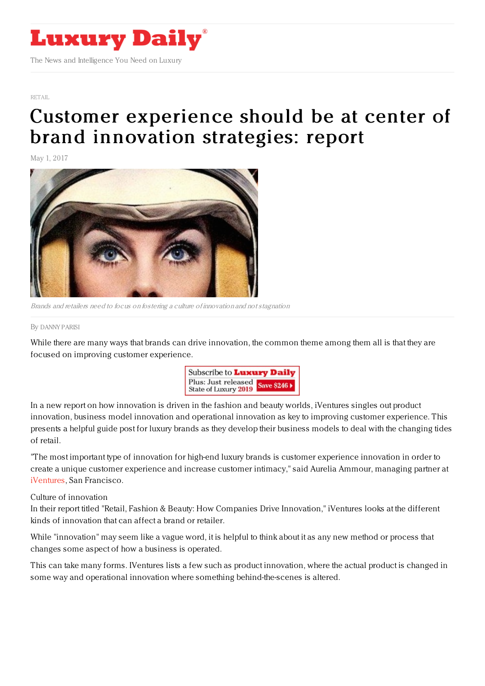

[RETAIL](file:///tmp/www.luxurydaily.com/category/retail)

# Customer [experience](https://www.luxurydaily.com/brand-innovation-must-put-customer-experience-at-the-center-report/) should be at center of brand innovation strategies: report

May 1, 2017



Brands and retailers need to focus on fostering <sup>a</sup> culture of innovation and not stagnation

#### By [DANNY](file:///author/danny-parisi) PARISI

While there are many ways that brands can drive innovation, the common theme among them all is that they are focused on improving customer experience.



In a new report on how innovation is driven in the fashion and beauty worlds, iVentures singles out product innovation, business model innovation and operational innovation as key to improving customer experience. This presents a helpful guide post for luxury brands as they develop their business models to deal with the changing tides of retail.

"The most important type of innovation for high-end luxury brands is customer experience innovation in order to create a unique customer experience and increase customer intimacy," said Aurelia Ammour, managing partner at [iVentures](http://www.iventures-consulting.com/), San Francisco.

# Culture of innovation

In their report titled "Retail, Fashion & Beauty: How Companies Drive Innovation," iVentures looks at the different kinds of innovation that can affect a brand or retailer.

While "innovation" may seem like a vague word, it is helpful to think about it as any new method or process that changes some aspect of how a business is operated.

This can take many forms. IVentures lists a few such as product innovation, where the actual product is changed in some way and operational innovation where something behind-the-scenes is altered.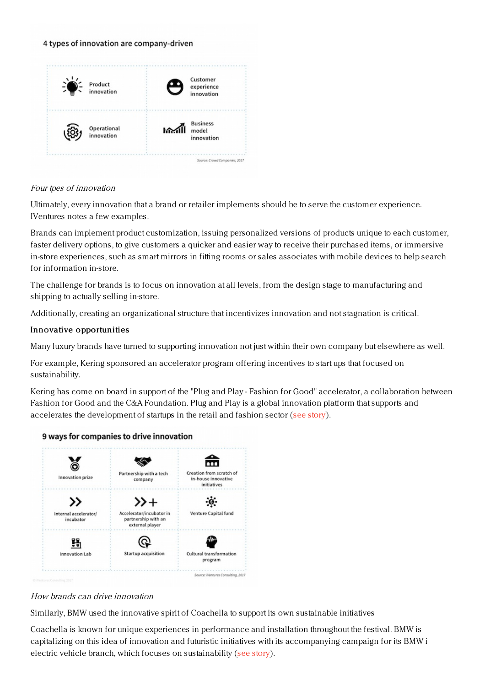#### 4 types of innovation are company-driven



# Four tpes of innovation

Ultimately, every innovation that a brand or retailer implements should be to serve the customer experience. IVentures notes a few examples.

Brands can implement product customization, issuing personalized versions of products unique to each customer, faster delivery options, to give customers a quicker and easier way to receive their purchased items, or immersive in-store experiences, such as smart mirrors in fitting rooms or sales associates with mobile devices to help search for information in-store.

The challenge for brands is to focus on innovation at all levels, from the design stage to manufacturing and shipping to actually selling in-store.

Additionally, creating an organizational structure that incentivizes innovation and not stagnation is critical.

# Innovative opportunities

Many luxury brands have turned to supporting innovation not just within their own company but elsewhere as well.

For example, Kering sponsored an accelerator program offering incentives to start ups that focused on sustainability.

Kering has come on board in support of the "Plug and Play - Fashion for Good" accelerator, a collaboration between Fashion for Good and the C&A Foundation. Plug and Play is a global innovation platform that supports and accelerates the development of startups in the retail and fashion sector (see [story](https://www.luxurydaily.com/kering-plug-and-play-launch-joint-venture-to-accelerate-textile-innovations/)).





# How brands can drive innovation

Similarly, BMW used the innovative spirit of Coachella to support its own sustainable initiatives

Coachella is known for unique experiences in performance and installation throughout the festival. BMW is capitalizing on this idea of innovation and futuristic initiatives with its accompanying campaign for its BMW i electric vehicle branch, which focuses on sustainability (see [story](https://www.luxurydaily.com/bmw-i-focuses-on-sustainability-and-innovation-for-coachella/)).